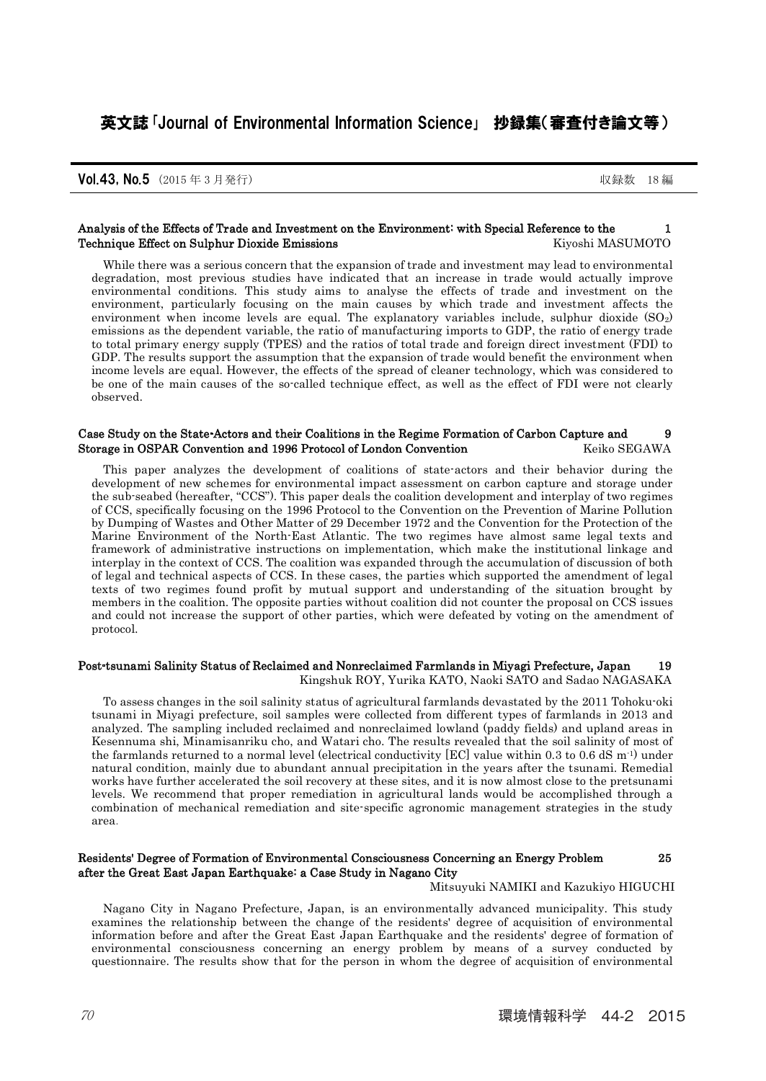### Analysis of the Effects of Trade and Investment on the Environment: with Special Reference to the 1 Technique Effect on Sulphur Dioxide Emissions **Kiyoshi MASUMOTO**

While there was a serious concern that the expansion of trade and investment may lead to environmental degradation, most previous studies have indicated that an increase in trade would actually improve environmental conditions. This study aims to analyse the effects of trade and investment on the environment, particularly focusing on the main causes by which trade and investment affects the environment when income levels are equal. The explanatory variables include, sulphur dioxide  $(SO<sub>2</sub>)$ emissions as the dependent variable, the ratio of manufacturing imports to GDP, the ratio of energy trade to total primary energy supply (TPES) and the ratios of total trade and foreign direct investment (FDI) to GDP. The results support the assumption that the expansion of trade would benefit the environment when income levels are equal. However, the effects of the spread of cleaner technology, which was considered to be one of the main causes of the so-called technique effect, as well as the effect of FDI were not clearly observed.

### Case Study on the State-Actors and their Coalitions in the Regime Formation of Carbon Capture and 9 Storage in OSPAR Convention and 1996 Protocol of London Convention Keiko SEGAWA

This paper analyzes the development of coalitions of state-actors and their behavior during the development of new schemes for environmental impact assessment on carbon capture and storage under the sub-seabed (hereafter, "CCS"). This paper deals the coalition development and interplay of two regimes of CCS, specifically focusing on the 1996 Protocol to the Convention on the Prevention of Marine Pollution by Dumping of Wastes and Other Matter of 29 December 1972 and the Convention for the Protection of the Marine Environment of the North-East Atlantic. The two regimes have almost same legal texts and framework of administrative instructions on implementation, which make the institutional linkage and interplay in the context of CCS. The coalition was expanded through the accumulation of discussion of both of legal and technical aspects of CCS. In these cases, the parties which supported the amendment of legal texts of two regimes found profit by mutual support and understanding of the situation brought by members in the coalition. The opposite parties without coalition did not counter the proposal on CCS issues and could not increase the support of other parties, which were defeated by voting on the amendment of protocol.

## Post-tsunami Salinity Status of Reclaimed and Nonreclaimed Farmlands in Miyagi Prefecture, Japan 19 Kingshuk ROY, Yurika KATO, Naoki SATO and Sadao NAGASAKA

To assess changes in the soil salinity status of agricultural farmlands devastated by the 2011 Tohoku-oki tsunami in Miyagi prefecture, soil samples were collected from different types of farmlands in 2013 and analyzed. The sampling included reclaimed and nonreclaimed lowland (paddy fields) and upland areas in Kesennuma shi, Minamisanriku cho, and Watari cho. The results revealed that the soil salinity of most of the farmlands returned to a normal level (electrical conductivity [EC] value within 0.3 to 0.6 dS m<sup>-1</sup>) under natural condition, mainly due to abundant annual precipitation in the years after the tsunami. Remedial works have further accelerated the soil recovery at these sites, and it is now almost close to the pretsunami levels. We recommend that proper remediation in agricultural lands would be accomplished through a combination of mechanical remediation and site-specific agronomic management strategies in the study area.

### Residents' Degree of Formation of Environmental Consciousness Concerning an Energy Problem 25 after the Great East Japan Earthquake: a Case Study in Nagano City

Mitsuyuki NAMIKI and Kazukiyo HIGUCHI

Nagano City in Nagano Prefecture, Japan, is an environmentally advanced municipality. This study examines the relationship between the change of the residents' degree of acquisition of environmental information before and after the Great East Japan Earthquake and the residents' degree of formation of environmental consciousness concerning an energy problem by means of a survey conducted by questionnaire. The results show that for the person in whom the degree of acquisition of environmental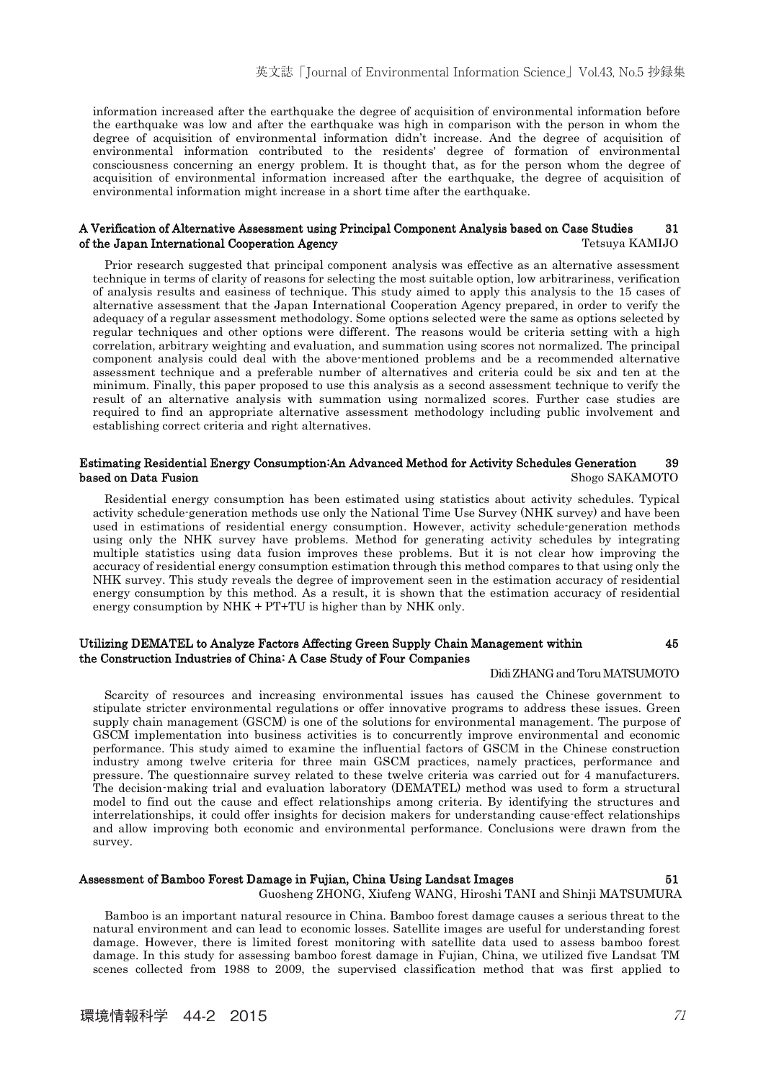information increased after the earthquake the degree of acquisition of environmental information before the earthquake was low and after the earthquake was high in comparison with the person in whom the degree of acquisition of environmental information didn't increase. And the degree of acquisition of environmental information contributed to the residents' degree of formation of environmental consciousness concerning an energy problem. It is thought that, as for the person whom the degree of acquisition of environmental information increased after the earthquake, the degree of acquisition of environmental information might increase in a short time after the earthquake.

### A Verification of Alternative Assessment using Principal Component Analysis based on Case Studies 31 of the Japan International Cooperation Agency Tetsuya KAMIJO

Prior research suggested that principal component analysis was effective as an alternative assessment technique in terms of clarity of reasons for selecting the most suitable option, low arbitrariness, verification of analysis results and easiness of technique. This study aimed to apply this analysis to the 15 cases of alternative assessment that the Japan International Cooperation Agency prepared, in order to verify the adequacy of a regular assessment methodology. Some options selected were the same as options selected by regular techniques and other options were different. The reasons would be criteria setting with a high correlation, arbitrary weighting and evaluation, and summation using scores not normalized. The principal component analysis could deal with the above-mentioned problems and be a recommended alternative assessment technique and a preferable number of alternatives and criteria could be six and ten at the minimum. Finally, this paper proposed to use this analysis as a second assessment technique to verify the result of an alternative analysis with summation using normalized scores. Further case studies are required to find an appropriate alternative assessment methodology including public involvement and establishing correct criteria and right alternatives.

### Estimating Residential Energy Consumption:An Advanced Method for Activity Schedules Generation 39 **based on Data Fusion** Shogo SAKAMOTO

Residential energy consumption has been estimated using statistics about activity schedules. Typical activity schedule-generation methods use only the National Time Use Survey (NHK survey) and have been used in estimations of residential energy consumption. However, activity schedule-generation methods using only the NHK survey have problems. Method for generating activity schedules by integrating multiple statistics using data fusion improves these problems. But it is not clear how improving the accuracy of residential energy consumption estimation through this method compares to that using only the NHK survey. This study reveals the degree of improvement seen in the estimation accuracy of residential energy consumption by this method. As a result, it is shown that the estimation accuracy of residential energy consumption by NHK + PT+TU is higher than by NHK only.

### Utilizing DEMATEL to Analyze Factors Affecting Green Supply Chain Management within 45 the Construction Industries of China: A Case Study of Four Companies

#### Didi ZHANG and Toru MATSUMOTO

Scarcity of resources and increasing environmental issues has caused the Chinese government to stipulate stricter environmental regulations or offer innovative programs to address these issues. Green supply chain management (GSCM) is one of the solutions for environmental management. The purpose of GSCM implementation into business activities is to concurrently improve environmental and economic performance. This study aimed to examine the influential factors of GSCM in the Chinese construction industry among twelve criteria for three main GSCM practices, namely practices, performance and pressure. The questionnaire survey related to these twelve criteria was carried out for 4 manufacturers. The decision-making trial and evaluation laboratory (DEMATEL) method was used to form a structural model to find out the cause and effect relationships among criteria. By identifying the structures and interrelationships, it could offer insights for decision makers for understanding cause-effect relationships and allow improving both economic and environmental performance. Conclusions were drawn from the survey.

# Assessment of Bamboo Forest Damage in Fujian, China Using Landsat Images 51

Guosheng ZHONG, Xiufeng WANG, Hiroshi TANI and Shinji MATSUMURA

Bamboo is an important natural resource in China. Bamboo forest damage causes a serious threat to the natural environment and can lead to economic losses. Satellite images are useful for understanding forest damage. However, there is limited forest monitoring with satellite data used to assess bamboo forest damage. In this study for assessing bamboo forest damage in Fujian, China, we utilized five Landsat TM scenes collected from 1988 to 2009, the supervised classification method that was first applied to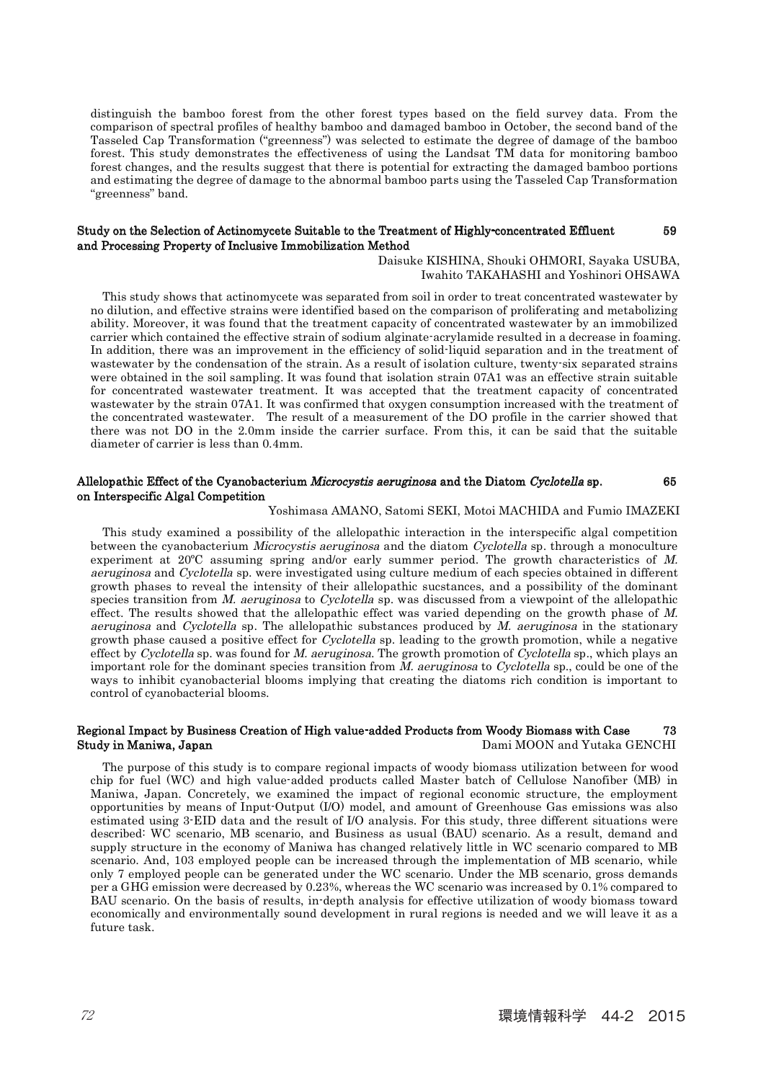distinguish the bamboo forest from the other forest types based on the field survey data. From the comparison of spectral profiles of healthy bamboo and damaged bamboo in October, the second band of the Tasseled Cap Transformation ("greenness") was selected to estimate the degree of damage of the bamboo forest. This study demonstrates the effectiveness of using the Landsat TM data for monitoring bamboo forest changes, and the results suggest that there is potential for extracting the damaged bamboo portions and estimating the degree of damage to the abnormal bamboo parts using the Tasseled Cap Transformation "greenness" band.

### Study on the Selection of Actinomycete Suitable to the Treatment of Highly-concentrated Effluent 59 and Processing Property of Inclusive Immobilization Method

Daisuke KISHINA, Shouki OHMORI, Sayaka USUBA, Iwahito TAKAHASHI and Yoshinori OHSAWA

This study shows that actinomycete was separated from soil in order to treat concentrated wastewater by no dilution, and effective strains were identified based on the comparison of proliferating and metabolizing ability. Moreover, it was found that the treatment capacity of concentrated wastewater by an immobilized carrier which contained the effective strain of sodium alginate-acrylamide resulted in a decrease in foaming. In addition, there was an improvement in the efficiency of solid-liquid separation and in the treatment of wastewater by the condensation of the strain. As a result of isolation culture, twenty-six separated strains were obtained in the soil sampling. It was found that isolation strain 07A1 was an effective strain suitable for concentrated wastewater treatment. It was accepted that the treatment capacity of concentrated wastewater by the strain 07A1. It was confirmed that oxygen consumption increased with the treatment of the concentrated wastewater. The result of a measurement of the DO profile in the carrier showed that there was not DO in the 2.0mm inside the carrier surface. From this, it can be said that the suitable diameter of carrier is less than 0.4mm.

#### Allelopathic Effect of the Cyanobacterium Microcystis aeruginosa and the Diatom Cyclotella sp. 65 on Interspecific Algal Competition

### Yoshimasa AMANO, Satomi SEKI, Motoi MACHIDA and Fumio IMAZEKI

This study examined a possibility of the allelopathic interaction in the interspecific algal competition between the cyanobacterium Microcystis aeruginosa and the diatom Cyclotella sp. through a monoculture experiment at 20ºC assuming spring and/or early summer period. The growth characteristics of M. aeruginosa and Cyclotella sp. were investigated using culture medium of each species obtained in different growth phases to reveal the intensity of their allelopathic sucstances, and a possibility of the dominant species transition from M. aeruginosa to Cyclotella sp. was discussed from a viewpoint of the allelopathic effect. The results showed that the allelopathic effect was varied depending on the growth phase of M. aeruginosa and Cyclotella sp. The allelopathic substances produced by  $M$ . aeruginosa in the stationary growth phase caused a positive effect for *Cyclotella* sp. leading to the growth promotion, while a negative effect by Cyclotella sp. was found for M. aeruginosa. The growth promotion of Cyclotella sp., which plays an important role for the dominant species transition from M. aeruginosa to Cyclotella sp., could be one of the ways to inhibit cyanobacterial blooms implying that creating the diatoms rich condition is important to control of cyanobacterial blooms.

### Regional Impact by Business Creation of High value-added Products from Woody Biomass with Case 73 Study in Maniwa, Japan **Dami MOON and Yutaka GENCHI**

The purpose of this study is to compare regional impacts of woody biomass utilization between for wood chip for fuel (WC) and high value-added products called Master batch of Cellulose Nanofiber (MB) in Maniwa, Japan. Concretely, we examined the impact of regional economic structure, the employment opportunities by means of Input-Output (I/O) model, and amount of Greenhouse Gas emissions was also estimated using 3-EID data and the result of I/O analysis. For this study, three different situations were described: WC scenario, MB scenario, and Business as usual (BAU) scenario. As a result, demand and supply structure in the economy of Maniwa has changed relatively little in WC scenario compared to MB scenario. And, 103 employed people can be increased through the implementation of MB scenario, while only 7 employed people can be generated under the WC scenario. Under the MB scenario, gross demands per a GHG emission were decreased by 0.23%, whereas the WC scenario was increased by 0.1% compared to BAU scenario. On the basis of results, in-depth analysis for effective utilization of woody biomass toward economically and environmentally sound development in rural regions is needed and we will leave it as a future task.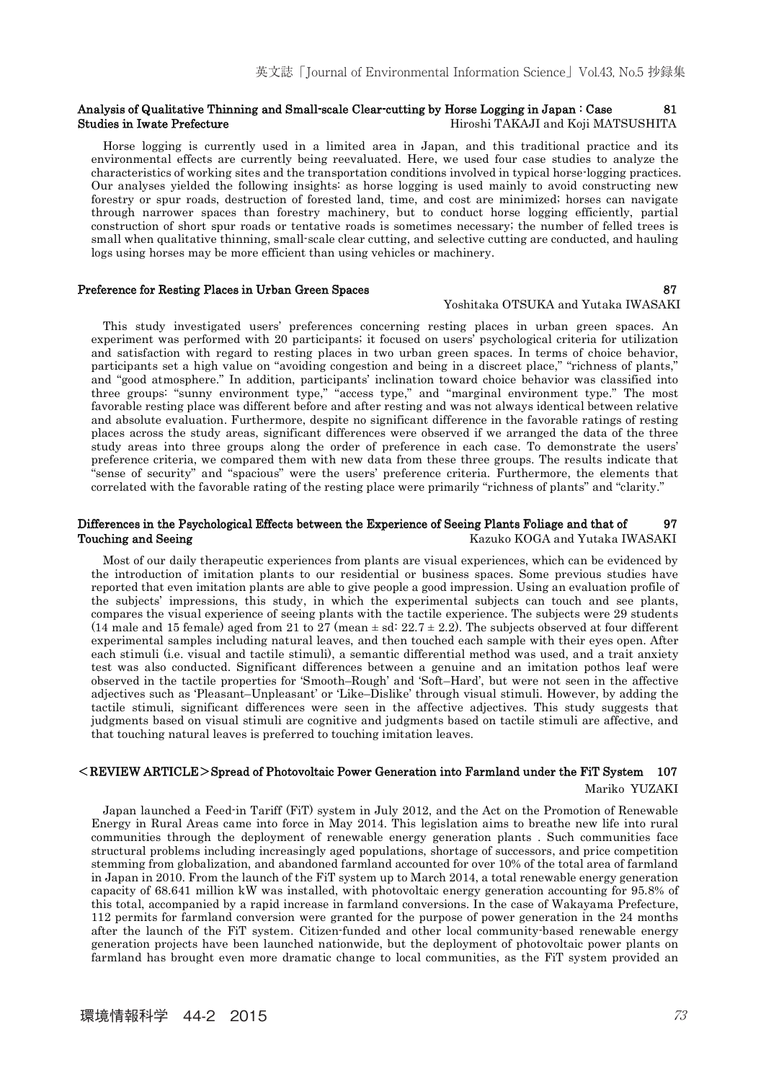### Analysis of Qualitative Thinning and Small-scale Clear-cutting by Horse Logging in Japan : Case 81 Studies in Iwate Prefecture **Hiroshi TAKAJI and Koji MATSUSHITA**

Horse logging is currently used in a limited area in Japan, and this traditional practice and its environmental effects are currently being reevaluated. Here, we used four case studies to analyze the characteristics of working sites and the transportation conditions involved in typical horse-logging practices. Our analyses yielded the following insights: as horse logging is used mainly to avoid constructing new forestry or spur roads, destruction of forested land, time, and cost are minimized; horses can navigate through narrower spaces than forestry machinery, but to conduct horse logging efficiently, partial construction of short spur roads or tentative roads is sometimes necessary; the number of felled trees is small when qualitative thinning, small-scale clear cutting, and selective cutting are conducted, and hauling logs using horses may be more efficient than using vehicles or machinery.

### Preference for Resting Places in Urban Green Spaces 87

#### Yoshitaka OTSUKA and Yutaka IWASAKI

This study investigated users' preferences concerning resting places in urban green spaces. An experiment was performed with 20 participants; it focused on users' psychological criteria for utilization and satisfaction with regard to resting places in two urban green spaces. In terms of choice behavior, participants set a high value on "avoiding congestion and being in a discreet place," "richness of plants," and "good atmosphere." In addition, participants' inclination toward choice behavior was classified into three groups: "sunny environment type," "access type," and "marginal environment type." The most favorable resting place was different before and after resting and was not always identical between relative and absolute evaluation. Furthermore, despite no significant difference in the favorable ratings of resting places across the study areas, significant differences were observed if we arranged the data of the three study areas into three groups along the order of preference in each case. To demonstrate the users' preference criteria, we compared them with new data from these three groups. The results indicate that "sense of security" and "spacious" were the users' preference criteria. Furthermore, the elements that correlated with the favorable rating of the resting place were primarily "richness of plants" and "clarity."

### Differences in the Psychological Effects between the Experience of Seeing Plants Foliage and that of 97 Touching and Seeing **Kazuko KOGA and Yutaka IWASAKI** Maxuko KOGA and Yutaka IWASAKI

Most of our daily therapeutic experiences from plants are visual experiences, which can be evidenced by the introduction of imitation plants to our residential or business spaces. Some previous studies have reported that even imitation plants are able to give people a good impression. Using an evaluation profile of the subjects' impressions, this study, in which the experimental subjects can touch and see plants, compares the visual experience of seeing plants with the tactile experience. The subjects were 29 students (14 male and 15 female) aged from 21 to 27 (mean  $\pm$  sd: 22.7  $\pm$  2.2). The subjects observed at four different experimental samples including natural leaves, and then touched each sample with their eyes open. After each stimuli (i.e. visual and tactile stimuli), a semantic differential method was used, and a trait anxiety test was also conducted. Significant differences between a genuine and an imitation pothos leaf were observed in the tactile properties for 'Smooth–Rough' and 'Soft–Hard', but were not seen in the affective adjectives such as 'Pleasant–Unpleasant' or 'Like–Dislike' through visual stimuli. However, by adding the tactile stimuli, significant differences were seen in the affective adjectives. This study suggests that judgments based on visual stimuli are cognitive and judgments based on tactile stimuli are affective, and that touching natural leaves is preferred to touching imitation leaves.

# $\leq$ REVIEW ARTICLE $>$ Spread of Photovoltaic Power Generation into Farmland under the FiT System 107 Mariko YUZAKI

Japan launched a Feed-in Tariff (FiT) system in July 2012, and the Act on the Promotion of Renewable Energy in Rural Areas came into force in May 2014. This legislation aims to breathe new life into rural communities through the deployment of renewable energy generation plants . Such communities face structural problems including increasingly aged populations, shortage of successors, and price competition stemming from globalization, and abandoned farmland accounted for over 10% of the total area of farmland in Japan in 2010. From the launch of the FiT system up to March 2014, a total renewable energy generation capacity of 68.641 million kW was installed, with photovoltaic energy generation accounting for 95.8% of this total, accompanied by a rapid increase in farmland conversions. In the case of Wakayama Prefecture, 112 permits for farmland conversion were granted for the purpose of power generation in the 24 months after the launch of the FiT system. Citizen-funded and other local community-based renewable energy generation projects have been launched nationwide, but the deployment of photovoltaic power plants on farmland has brought even more dramatic change to local communities, as the FiT system provided an